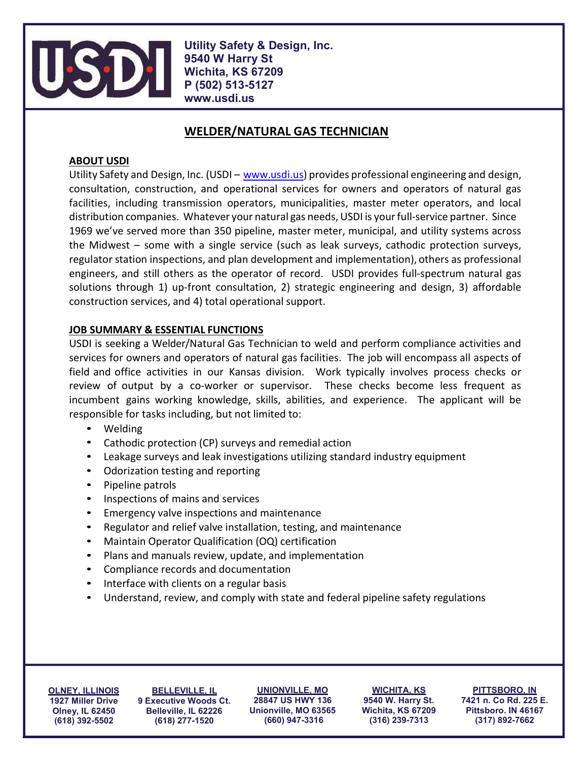

Utility Safety & Design, Inc. 9540 W Harry St Wichita, KS 67209 P (502) 513-5127 www.usdi.us

# WELDER/NATURAL GAS TECHNICIAN

## ABOUT USDI

Utility Safety and Design, Inc. (USDI – www.usdi.us) provides professional engineering and design, consultation, construction, and operational services for owners and operators of natural gas facilities, including transmission operators, municipalities, master meter operators, and local distribution companies. Whatever your natural gas needs, USDI is your full-service partner. Since 1969 we've served more than 350 pipeline, master meter, municipal, and utility systems across the Midwest – some with a single service (such as leak surveys, cathodic protection surveys, regulator station inspections, and plan development and implementation), others as professional engineers, and still others as the operator of record. USDI provides full-spectrum natural gas solutions through 1) up-front consultation, 2) strategic engineering and design, 3) affordable construction services, and 4) total operational support.

## JOB SUMMARY & ESSENTIAL FUNCTIONS

USDI is seeking a Welder/Natural Gas Technician to weld and perform compliance activities and services for owners and operators of natural gas facilities. The job will encompass all aspects of field and office activities in our Kansas division. Work typically involves process checks or review of output by a co-worker or supervisor. These checks become less frequent as incumbent gains working knowledge, skills, abilities, and experience. The applicant will be responsible for tasks including, but not limited to:

- 
- 
- 
- 
- 
- 
- 
- 
- 
- 
- 
- 
- Welding<br>
Cathodic protection (CP) surveys and remedial action<br>
Leakage surveys and leak investigations utilizing standard industry equipment<br>
Odorization testing and reporting<br>
Pipeline patrols<br>
Inspections of

OLNEY, ILLINOIS 1927 Miller Drive Olney, IL 62450 (618) 392-5502

BELLEVILLE, IL 9 Executive Woods Ct. Belleville, IL 62226 (618) 277-1520

UNIONVILLE, MO 28847 US HWY 136 Unionville, MO 63565 (660) 947-3316

WICHITA, KS 9540 W. Harry St. Wichita, KS 67209 (316) 239-7313

PITTSBORO, IN 7421 n. Co Rd. 225 E. Pittsboro. IN 46167 (317) 892-7662